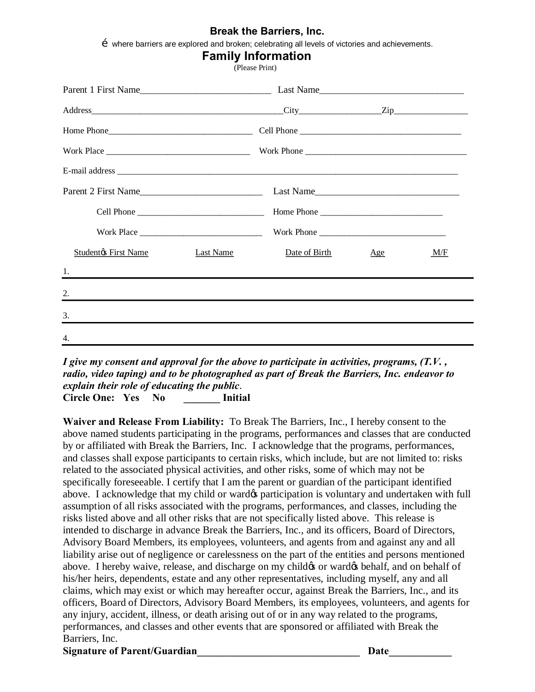#### **Break the Barriers, Inc.**

 $\tilde{O}$  where barriers are explored and broken; celebrating all levels of victories and achievements.

(Please Print)

| Parent 2 First Name         |           | Last Name                                                                        |     |     |
|-----------------------------|-----------|----------------------------------------------------------------------------------|-----|-----|
|                             |           | Home Phone                                                                       |     |     |
| Work Place $\frac{1}{1}$    |           |                                                                                  |     |     |
| <b>Studentøs First Name</b> | Last Name | Date of Birth                                                                    | Age | M/F |
| 1.                          |           |                                                                                  |     |     |
| 2.                          |           | ,我们也不会有什么。""我们的人,我们也不会有什么?""我们的人,我们也不会有什么?""我们的人,我们也不会有什么?""我们的人,我们也不会有什么?""我们的人 |     |     |
| 3.                          |           |                                                                                  |     |     |
| 4.                          |           |                                                                                  |     |     |
|                             |           |                                                                                  |     |     |

*I give my consent and approval for the above to participate in activities, programs, (T.V. , radio, video taping) and to be photographed as part of Break the Barriers, Inc. endeavor to explain their role of educating the public*. **Circle One: Yes No \_\_\_\_\_\_\_ Initial** 

**Waiver and Release From Liability:** To Break The Barriers, Inc., I hereby consent to the above named students participating in the programs, performances and classes that are conducted by or affiliated with Break the Barriers, Inc. I acknowledge that the programs, performances, and classes shall expose participants to certain risks, which include, but are not limited to: risks related to the associated physical activities, and other risks, some of which may not be specifically foreseeable. I certify that I am the parent or guardian of the participant identified above. I acknowledge that my child or ward t participation is voluntary and undertaken with full assumption of all risks associated with the programs, performances, and classes, including the risks listed above and all other risks that are not specifically listed above. This release is intended to discharge in advance Break the Barriers, Inc., and its officers, Board of Directors, Advisory Board Members, its employees, volunteers, and agents from and against any and all liability arise out of negligence or carelessness on the part of the entities and persons mentioned above. I hereby waive, release, and discharge on my child  $\alpha$  or ward  $\alpha$  behalf, and on behalf of his/her heirs, dependents, estate and any other representatives, including myself, any and all claims, which may exist or which may hereafter occur, against Break the Barriers, Inc., and its officers, Board of Directors, Advisory Board Members, its employees, volunteers, and agents for any injury, accident, illness, or death arising out of or in any way related to the programs, performances, and classes and other events that are sponsored or affiliated with Break the Barriers, Inc.

Signature of Parent/Guardian **Solution Secure 2018 Date**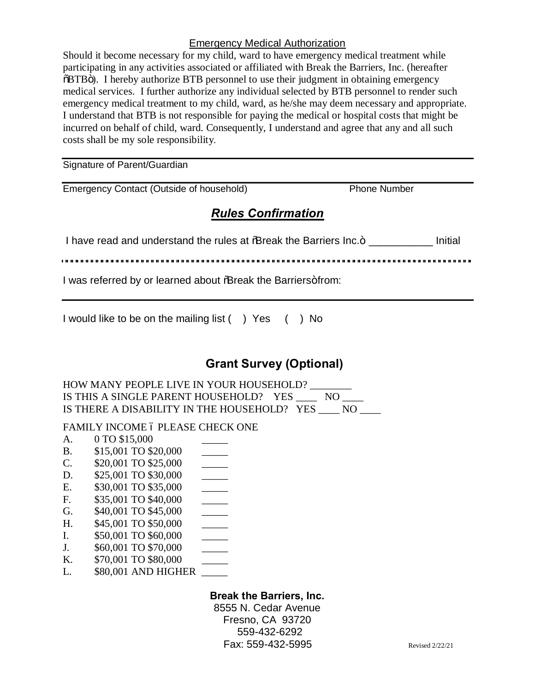### Emergency Medical Authorization

Should it become necessary for my child, ward to have emergency medical treatment while participating in any activities associated or affiliated with Break the Barriers, Inc. (hereafter  $\delta$ BTB $\ddot{o}$ ). I hereby authorize BTB personnel to use their judgment in obtaining emergency medical services. I further authorize any individual selected by BTB personnel to render such emergency medical treatment to my child, ward, as he/she may deem necessary and appropriate. I understand that BTB is not responsible for paying the medical or hospital costs that might be incurred on behalf of child, ward. Consequently, I understand and agree that any and all such costs shall be my sole responsibility.

Signature of Parent/Guardian

| <b>Emergency Contact (Outside of household</b> |  |  |  |
|------------------------------------------------|--|--|--|
|                                                |  |  |  |
|                                                |  |  |  |
|                                                |  |  |  |

 $\Box$  Phone Number

### *Rules Confirmation*

I have read and understand the rules at % Break the Barriers Inc.+ \_\_\_\_\_\_\_\_\_\_\_\_ Initial

'"""""""""""""""""""""""""""""""""""""""""""""""""""""""""""""""""""""""""""""""""

I was referred by or learned about % Treak the Barriers+from:

I would like to be on the mailing list () Yes () No

## **Grant Survey (Optional)**

HOW MANY PEOPLE LIVE IN YOUR HOUSEHOLD? IS THIS A SINGLE PARENT HOUSEHOLD? YES \_\_\_\_ NO \_\_\_\_ IS THERE A DISABILITY IN THE HOUSEHOLD? YES NO

### FAMILY INCOME 6 PLEASE CHECK ONE

- A. 0 TO \$15,000 B. \$15,001 TO \$20,000 \_\_\_\_\_
- C. \$20,001 TO \$25,000 \_\_\_\_\_
- D. \$25,001 TO \$30,000 \_\_\_\_\_
- E. \$30,001 TO \$35,000 \_\_\_\_\_
- F. \$35,001 TO \$40,000 \_\_\_\_\_\_
- G. \$40,001 TO \$45,000 \_\_\_\_\_\_\_
- H. \$45,001 TO \$50,000 \_\_\_\_\_
- I. \$50,001 TO \$60,000 \_\_\_\_\_\_
- $J. \qquad $60,001 \text{ TO } $70,000$
- K.  $$70,001$  TO \$80,000
- L. \$80,001 AND HIGHER

### **Break the Barriers, Inc.**

8555 N. Cedar Avenue Fresno, CA 93720 559-432-6292 Fax: 559-432-5995 Revised 2/22/21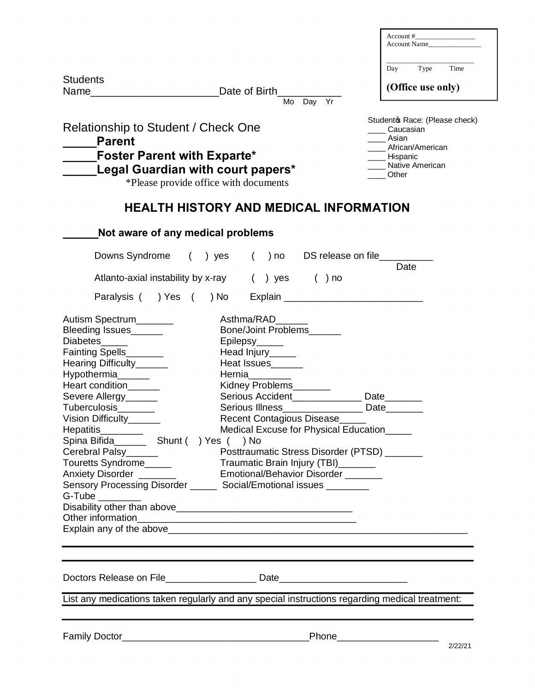|                                                                                                                                                                                                                                                                                                                                                                    |                                                                                  | Account Name                   |
|--------------------------------------------------------------------------------------------------------------------------------------------------------------------------------------------------------------------------------------------------------------------------------------------------------------------------------------------------------------------|----------------------------------------------------------------------------------|--------------------------------|
|                                                                                                                                                                                                                                                                                                                                                                    |                                                                                  | Time<br>Day<br>Type            |
| <b>Students</b>                                                                                                                                                                                                                                                                                                                                                    | Date of Birth                                                                    | (Office use only)              |
|                                                                                                                                                                                                                                                                                                                                                                    | Mo Day Yr                                                                        |                                |
|                                                                                                                                                                                                                                                                                                                                                                    |                                                                                  | Studentos Race: (Please check) |
| Relationship to Student / Check One                                                                                                                                                                                                                                                                                                                                |                                                                                  | __ Caucasian                   |
| <b>Parent</b>                                                                                                                                                                                                                                                                                                                                                      |                                                                                  | __ Asian<br>African/American   |
| <b>Foster Parent with Exparte*</b>                                                                                                                                                                                                                                                                                                                                 |                                                                                  | ____ Hispanic                  |
|                                                                                                                                                                                                                                                                                                                                                                    | Legal Guardian with court papers*                                                | Native American                |
|                                                                                                                                                                                                                                                                                                                                                                    | *Please provide office with documents                                            | Other                          |
|                                                                                                                                                                                                                                                                                                                                                                    | HEALTH HISTORY AND MEDICAL INFORMATION                                           |                                |
|                                                                                                                                                                                                                                                                                                                                                                    |                                                                                  |                                |
| Not aware of any medical problems                                                                                                                                                                                                                                                                                                                                  |                                                                                  |                                |
| Downs Syndrome                                                                                                                                                                                                                                                                                                                                                     | $($ ) yes                                                                        | Date                           |
|                                                                                                                                                                                                                                                                                                                                                                    | Atlanto-axial instability by x-ray () yes<br>$( )$ no                            |                                |
| Paralysis ( ) Yes ( ) No                                                                                                                                                                                                                                                                                                                                           | Explain _______________________________                                          |                                |
| Autism Spectrum                                                                                                                                                                                                                                                                                                                                                    | Asthma/RAD                                                                       |                                |
| Bleeding Issues                                                                                                                                                                                                                                                                                                                                                    | Bone/Joint Problems                                                              |                                |
|                                                                                                                                                                                                                                                                                                                                                                    |                                                                                  |                                |
|                                                                                                                                                                                                                                                                                                                                                                    |                                                                                  |                                |
|                                                                                                                                                                                                                                                                                                                                                                    | Epilepsy <sub>______</sub>                                                       |                                |
|                                                                                                                                                                                                                                                                                                                                                                    | Head Injury_____                                                                 |                                |
|                                                                                                                                                                                                                                                                                                                                                                    | Heat Issues______                                                                |                                |
|                                                                                                                                                                                                                                                                                                                                                                    | Hernia________                                                                   |                                |
|                                                                                                                                                                                                                                                                                                                                                                    | Kidney Problems_______                                                           |                                |
|                                                                                                                                                                                                                                                                                                                                                                    | Serious Accident______________ Date_______                                       |                                |
|                                                                                                                                                                                                                                                                                                                                                                    | Serious Illness__________________ Date_______                                    |                                |
|                                                                                                                                                                                                                                                                                                                                                                    | Recent Contagious Disease_____<br>Medical Excuse for Physical Education_____     |                                |
|                                                                                                                                                                                                                                                                                                                                                                    | ) Yes ( ) No                                                                     |                                |
|                                                                                                                                                                                                                                                                                                                                                                    | Posttraumatic Stress Disorder (PTSD) ______                                      |                                |
|                                                                                                                                                                                                                                                                                                                                                                    | Traumatic Brain Injury (TBI)_____                                                |                                |
|                                                                                                                                                                                                                                                                                                                                                                    | Emotional/Behavior Disorder ______                                               |                                |
|                                                                                                                                                                                                                                                                                                                                                                    | Sensory Processing Disorder ________ Social/Emotional issues _________           |                                |
|                                                                                                                                                                                                                                                                                                                                                                    |                                                                                  |                                |
|                                                                                                                                                                                                                                                                                                                                                                    |                                                                                  |                                |
|                                                                                                                                                                                                                                                                                                                                                                    |                                                                                  |                                |
|                                                                                                                                                                                                                                                                                                                                                                    |                                                                                  |                                |
| Diabetes_____<br>Fainting Spells_______<br>Hearing Difficulty_____<br>Hypothermia______<br>Heart condition____<br>Severe Allergy______<br>Tuberculosis_______<br>Vision Difficulty______<br>Hepatitis________<br>Spina Bifida____________ Shunt (<br>Cerebral Palsy______<br>Touretts Syndrome<br>Anxiety Disorder _______<br>$G$ -Tube $\_\_\_\_\_\_\_\_\_\_\_\_$ |                                                                                  |                                |
|                                                                                                                                                                                                                                                                                                                                                                    | Doctors Release on File______________________ Date______________________________ |                                |

Family Doctor\_\_\_\_\_\_\_\_\_\_\_\_\_\_\_\_\_\_\_\_\_\_\_\_\_\_\_\_\_\_\_\_\_\_\_Phone\_\_\_\_\_\_\_\_\_\_\_\_\_\_\_\_\_\_\_ 2/22/21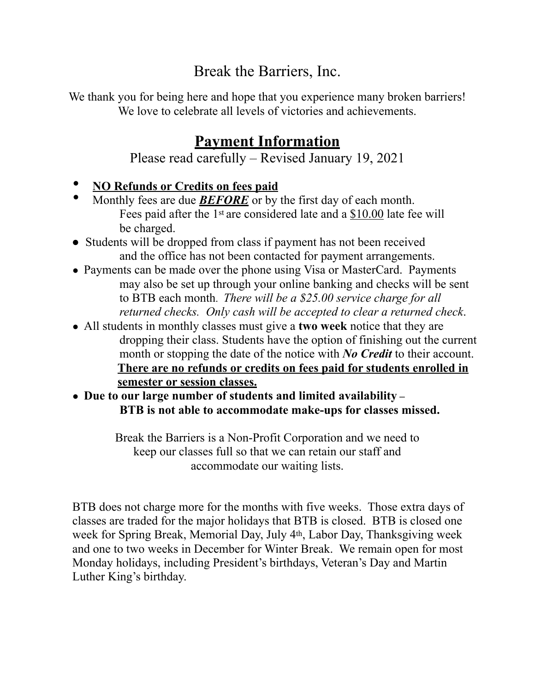# Break the Barriers, Inc.

We thank you for being here and hope that you experience many broken barriers! We love to celebrate all levels of victories and achievements.

# **Payment Information**

Please read carefully – Revised January 19, 2021

- **NO Refunds or Credits on fees paid**
- Monthly fees are due **BEFORE** or by the first day of each month. Fees paid after the 1st are considered late and a \$10.00 late fee will be charged.
- Students will be dropped from class if payment has not been received and the office has not been contacted for payment arrangements.
- Payments can be made over the phone using Visa or MasterCard. Payments may also be set up through your online banking and checks will be sent to BTB each month. *There will be a \$25.00 service charge for all returned checks. Only cash will be accepted to clear a returned check*.
- All students in monthly classes must give a **two week** notice that they are dropping their class. Students have the option of finishing out the current month or stopping the date of the notice with *No Credit* to their account. **There are no refunds or credits on fees paid for students enrolled in semester or session classes.**
- **Due to our large number of students and limited availability – BTB is not able to accommodate make-ups for classes missed.**

Break the Barriers is a Non-Profit Corporation and we need to keep our classes full so that we can retain our staff and accommodate our waiting lists.

BTB does not charge more for the months with five weeks. Those extra days of classes are traded for the major holidays that BTB is closed. BTB is closed one week for Spring Break, Memorial Day, July 4th, Labor Day, Thanksgiving week and one to two weeks in December for Winter Break. We remain open for most Monday holidays, including President's birthdays, Veteran's Day and Martin Luther King's birthday.